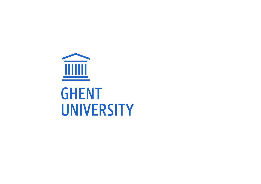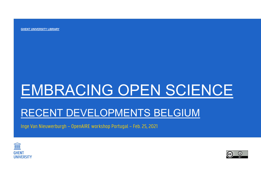GHENT UNIVERSITY LIBRARY

# EMBRACING OPEN SCIENCE EMBRACING OPEN SCIENCE<br>RECENT DEVELOPMENTS BELGIUM<br>Inge Van Nieuwerburgh – OpenAIRE workshop Portugal – Feb. 25, 2021<br>.

# RECENT DEVELOPMENTS BELGIUM



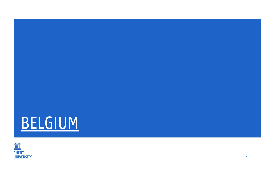

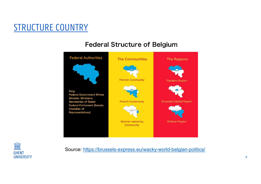# STRUCTURE COUNTRY<br>Federal Structure of B





Source: https://brussels-express.eu/wacky-world-belgian-politics/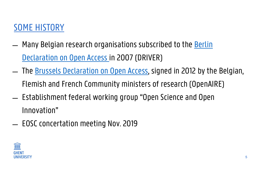- **SOME HISTORY<br>— Many Belgian research organisations subscribed to the <u>Berlin</u><br>— The Brussels Declaration on Open Access, signed in 2012 by the Belgian<br>— The Brussels Declaration on Open Access, signed in 2012 by the Belgi** Declaration on Open Access in 2007 (DRIVER)
- ̶ The Brussels Declaration on Open Access, signed in 2012 by the Belgian, Flemish and French Community ministers of research (OpenAIRE)
- ̶ Establishment federal working group "Open Science and Open Innovation"
- ̶ EOSC concertation meeting Nov. 2019

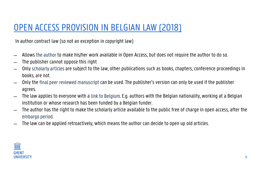# OPEN ACCESS PROVISION IN BELGIAN LAW (2018)<br>In author contract law (so not an exception in copyright law)<br>Allows the author to make his/ber work available in Open Access, but does not require the author to do so.

In author contract law (so not an exception in copyright law)

- ̶ Allows the author to make his/her work available in Open Access, but does not require the author to do so.
- ̶ The publisher cannot oppose this right
- ̶ Only scholarly articles are subject to the law, other publications such as books, chapters, conference proceedings in books, are not.
- ̶ Only the final peer reviewed manuscript can be used. The publisher's version can only be used if the publisher agrees.
- ̶ The law applies to everyone with a link to Belgium. E.g. authors with the Belgian nationality, working at a Belgian institution or whose research has been funded by a Belgian funder.
- ̶ The author has the right to make the scholarly article available to the public free of charge in open access, after the embargo period.
- ̶ The law can be applied retroactively, which means the author can decide to open up old articles.

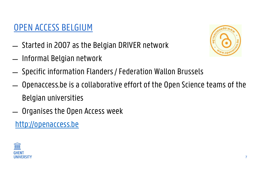## OPEN ACCESS BELGIUM

- 
- 



- 
- **EXECTS BELGIUM**<br>
Started in 2007 as the Belgian DRIVER network<br>
Informal Belgian network<br>
Specific information Flanders / Federation Wallon Brussels<br>
Openaccess.be is a collaborative effort of the Open Science tea OPEN ACCESS BELGIUM<br>- Started in 2007 as the Belgian DRIVER network<br>- Informal Belgian network<br>- Specific information Flanders / Federation Wall<br>- Openaccess.be is a collaborative effort of the O<br>Belgian universities<br>- Org
- 
- http://openaccess.be

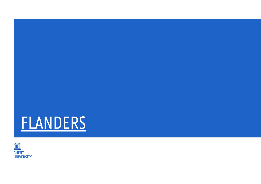

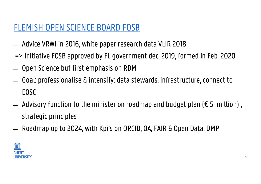- 
- FLEMISH OPEN SCIENCE BOARD FOSB<br>— Advice VRWI in 2016, white paper research data VLIR 2018<br>=> Initiative FOSB approved by FL government dec. 2019, formed in Feb. 202<br>— Open Science but first emphasis on RDM
- 
- FLEMISH OPEN SCIENCE BOARD FOSB<br>- Advice VRWI in 2016, white paper research data VLIR 2018<br>=> Initiative FOSB approved by FL government dec. 2019, formed in Feb. 2020<br>- Open Science but first emphasis on RDM<br>- Goal: profes FLEMISH OPEN SCIENCE BOARD FOSB<br>- Advice VRWI in 2016, white paper research data VLIR 2018<br>=> Initiative FOSB approved by FL government dec. 2019, formed in Feb. 2020<br>- Open Science but first emphasis on RDM<br>- Goal: profe EOSC
- $\overline{a}$  Advisory function to the minister on roadmap and budget plan ( $\epsilon$  5 million), strategic principles => Initiative FUSB approved by FL government dec. 2019, formed in Feb. 2020<br>- Open Science but first emphasis on RDM<br>- Goal: professionalise & intensify: data stewards, infrastructure, connect to<br>EOSC<br>- Advisory function
-